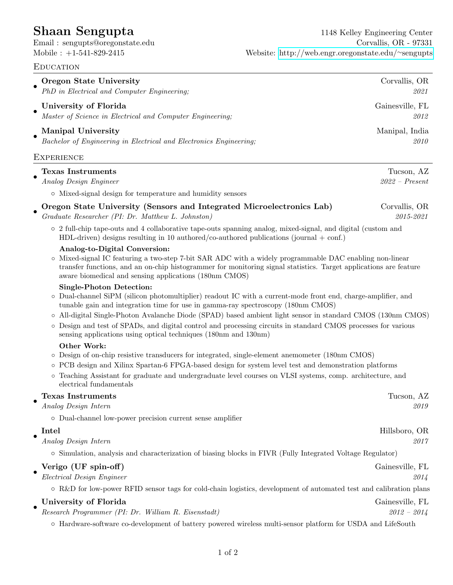## **EDUCATION** • **Oregon State University** Corvallis, OR PhD in Electrical and Computer Engineering; 2021 • University of Florida Gainesville, FL Master of Science in Electrical and Computer Engineering; 2012 • Manipal University Manipal, India Bachelor of Engineering in Electrical and Electronics Engineering; 2010 **EXPERIENCE** • **Texas Instruments** Tucson, AZ Analog Design Engineer 2022 – Present ◦ Mixed-signal design for temperature and humidity sensors • Oregon State University (Sensors and Integrated Microelectronics Lab) Corvallis, OR Graduate Researcher (PI: Dr. Matthew L. Johnston) 2015-2021 ◦ 2 full-chip tape-outs and 4 collaborative tape-outs spanning analog, mixed-signal, and digital (custom and HDL-driven) designs resulting in 10 authored/co-authored publications (journal  $+$  conf.) Analog-to-Digital Conversion: ◦ Mixed-signal IC featuring a two-step 7-bit SAR ADC with a widely programmable DAC enabling non-linear transfer functions, and an on-chip histogrammer for monitoring signal statistics. Target applications are feature aware biomedical and sensing applications (180nm CMOS) Single-Photon Detection: ◦ Dual-channel SiPM (silicon photomultiplier) readout IC with a current-mode front end, charge-amplifier, and tunable gain and integration time for use in gamma-ray spectroscopy (180nm CMOS) ◦ All-digital Single-Photon Avalanche Diode (SPAD) based ambient light sensor in standard CMOS (130nm CMOS) ◦ Design and test of SPADs, and digital control and processing circuits in standard CMOS processes for various sensing applications using optical techniques (180nm and 130nm) Other Work: ◦ Design of on-chip resistive transducers for integrated, single-element anemometer (180nm CMOS) ◦ PCB design and Xilinx Spartan-6 FPGA-based design for system level test and demonstration platforms ◦ Teaching Assistant for graduate and undergraduate level courses on VLSI systems, comp. architecture, and electrical fundamentals • Texas Instruments Tucson, AZ Analog Design Intern 2019 ◦ Dual-channel low-power precision current sense amplifier • **Intel Hillsboro, OR** Analog Design Intern 2017 ◦ Simulation, analysis and characterization of biasing blocks in FIVR (Fully Integrated Voltage Regulator) • Verigo (UF spin-off) Gainesville, FL Electrical Design Engineer 2014 ◦ R&D for low-power RFID sensor tags for cold-chain logistics, development of automated test and calibration plans • University of Florida Gainesville, FL Research Programmer (PI: Dr. William R. Eisenstadt) 2012 – 2014 ◦ Hardware-software co-development of battery powered wireless multi-sensor platform for USDA and LifeSouth